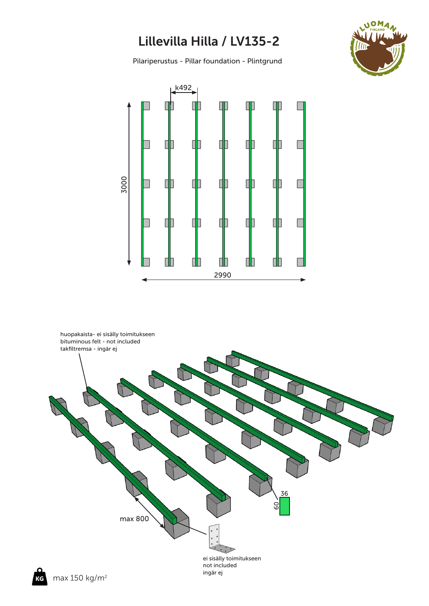## Lillevilla Hilla / LV135-2

Pilariperustus - Pillar foundation - Plintgrund





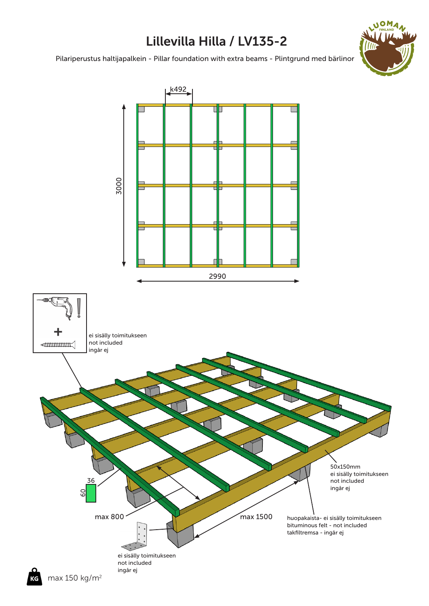## Lillevilla Hilla / LV135-2

0<sub>M</sub>

Pilariperustus haltijapalkein - Pillar foundation with extra beams - Plintgrund med bärlinor

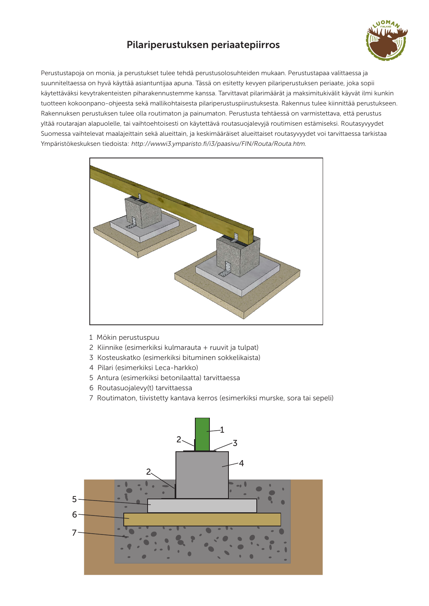## Pilariperustuksen periaatepiirros



Perustustapoja on monia, ja perustukset tulee tehdä perustusolosuhteiden mukaan. Perustustapaa valittaessa ja suunniteltaessa on hyvä käyttää asiantuntijaa apuna. Tässä on esitetty kevyen pilariperustuksen periaate, joka sopii käytettäväksi kevytrakenteisten piharakennustemme kanssa. Tarvittavat pilarimäärät ja maksimitukivälit käyvät ilmi kunkin tuotteen kokoonpano-ohjeesta sekä mallikohtaisesta pilariperustuspiirustuksesta. Rakennus tulee kiinnittää perustukseen. Rakennuksen perustuksen tulee olla routimaton ja painumaton. Perustusta tehtäessä on varmistettava, että perustus yltää routarajan alapuolelle, tai vaihtoehtoisesti on käytettävä routasuojalevyjä routimisen estämiseksi. Routasyvyydet Suomessa vaihtelevat maalajeittain sekä alueittain, ja keskimääräiset alueittaiset routasyvyydet voi tarvittaessa tarkistaa Ympäristökeskuksen tiedoista: http://wwwi3.ymparisto.fi/i3/paasivu/FIN/Routa/Routa.htm.



- 1 Mökin perustuspuu
- 2 Kiinnike (esimerkiksi kulmarauta + ruuvit ja tulpat)
- 3 Kosteuskatko (esimerkiksi bituminen sokkelikaista)
- 4 Pilari (esimerkiksi Leca-harkko)
- 5 Antura (esimerkiksi betonilaatta) tarvittaessa
- 6 Routasuojalevy(t) tarvittaessa
- 7 Routimaton, tiivistetty kantava kerros (esimerkiksi murske, sora tai sepeli)

![](_page_2_Figure_11.jpeg)